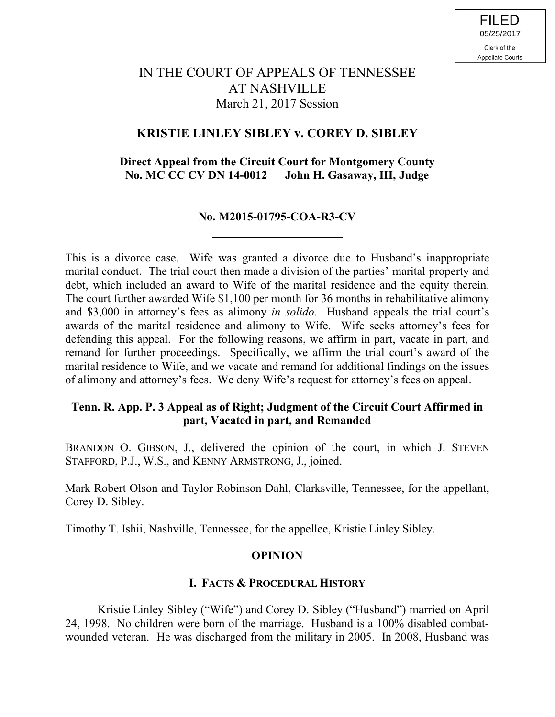# IN THE COURT OF APPEALS OF TENNESSEE AT NASHVILLE March 21, 2017 Session

## **KRISTIE LINLEY SIBLEY v. COREY D. SIBLEY**

## **Direct Appeal from the Circuit Court for Montgomery County No. MC CC CV DN 14-0012 John H. Gasaway, III, Judge**

## **No. M2015-01795-COA-R3-CV**

This is a divorce case. Wife was granted a divorce due to Husband's inappropriate marital conduct. The trial court then made a division of the parties' marital property and debt, which included an award to Wife of the marital residence and the equity therein. The court further awarded Wife \$1,100 per month for 36 months in rehabilitative alimony and \$3,000 in attorney's fees as alimony *in solido*. Husband appeals the trial court's awards of the marital residence and alimony to Wife. Wife seeks attorney's fees for defending this appeal. For the following reasons, we affirm in part, vacate in part, and remand for further proceedings. Specifically, we affirm the trial court's award of the marital residence to Wife, and we vacate and remand for additional findings on the issues of alimony and attorney's fees. We deny Wife's request for attorney's fees on appeal.

## **Tenn. R. App. P. 3 Appeal as of Right; Judgment of the Circuit Court Affirmed in part, Vacated in part, and Remanded**

BRANDON O. GIBSON, J., delivered the opinion of the court, in which J. STEVEN STAFFORD, P.J., W.S., and KENNY ARMSTRONG, J., joined.

Mark Robert Olson and Taylor Robinson Dahl, Clarksville, Tennessee, for the appellant, Corey D. Sibley.

Timothy T. Ishii, Nashville, Tennessee, for the appellee, Kristie Linley Sibley.

## **OPINION**

### **I. FACTS & PROCEDURAL HISTORY**

Kristie Linley Sibley ("Wife") and Corey D. Sibley ("Husband") married on April 24, 1998. No children were born of the marriage. Husband is a 100% disabled combatwounded veteran. He was discharged from the military in 2005. In 2008, Husband was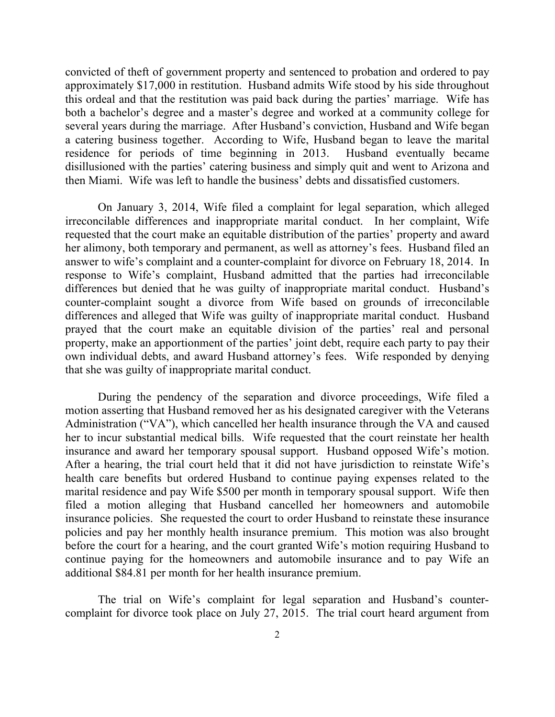convicted of theft of government property and sentenced to probation and ordered to pay approximately \$17,000 in restitution. Husband admits Wife stood by his side throughout this ordeal and that the restitution was paid back during the parties' marriage. Wife has both a bachelor's degree and a master's degree and worked at a community college for several years during the marriage. After Husband's conviction, Husband and Wife began a catering business together. According to Wife, Husband began to leave the marital residence for periods of time beginning in 2013. Husband eventually became disillusioned with the parties' catering business and simply quit and went to Arizona and then Miami. Wife was left to handle the business' debts and dissatisfied customers.

On January 3, 2014, Wife filed a complaint for legal separation, which alleged irreconcilable differences and inappropriate marital conduct. In her complaint, Wife requested that the court make an equitable distribution of the parties' property and award her alimony, both temporary and permanent, as well as attorney's fees. Husband filed an answer to wife's complaint and a counter-complaint for divorce on February 18, 2014. In response to Wife's complaint, Husband admitted that the parties had irreconcilable differences but denied that he was guilty of inappropriate marital conduct. Husband's counter-complaint sought a divorce from Wife based on grounds of irreconcilable differences and alleged that Wife was guilty of inappropriate marital conduct. Husband prayed that the court make an equitable division of the parties' real and personal property, make an apportionment of the parties' joint debt, require each party to pay their own individual debts, and award Husband attorney's fees. Wife responded by denying that she was guilty of inappropriate marital conduct.

During the pendency of the separation and divorce proceedings, Wife filed a motion asserting that Husband removed her as his designated caregiver with the Veterans Administration ("VA"), which cancelled her health insurance through the VA and caused her to incur substantial medical bills. Wife requested that the court reinstate her health insurance and award her temporary spousal support. Husband opposed Wife's motion. After a hearing, the trial court held that it did not have jurisdiction to reinstate Wife's health care benefits but ordered Husband to continue paying expenses related to the marital residence and pay Wife \$500 per month in temporary spousal support. Wife then filed a motion alleging that Husband cancelled her homeowners and automobile insurance policies. She requested the court to order Husband to reinstate these insurance policies and pay her monthly health insurance premium. This motion was also brought before the court for a hearing, and the court granted Wife's motion requiring Husband to continue paying for the homeowners and automobile insurance and to pay Wife an additional \$84.81 per month for her health insurance premium.

The trial on Wife's complaint for legal separation and Husband's countercomplaint for divorce took place on July 27, 2015. The trial court heard argument from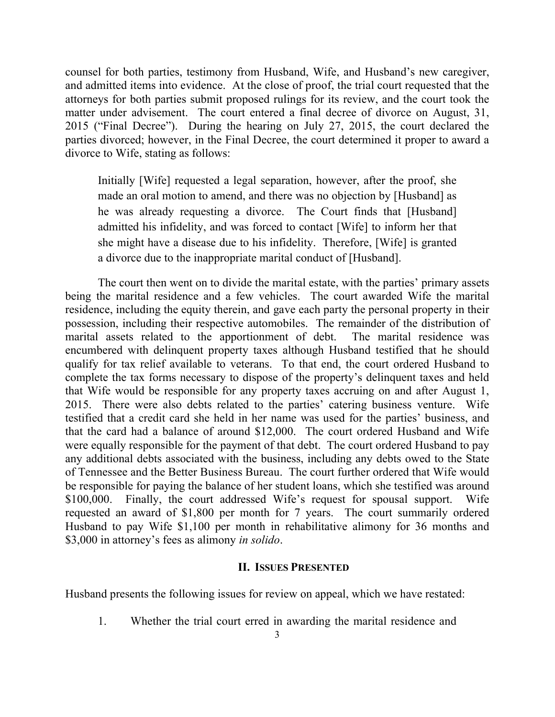counsel for both parties, testimony from Husband, Wife, and Husband's new caregiver, and admitted items into evidence. At the close of proof, the trial court requested that the attorneys for both parties submit proposed rulings for its review, and the court took the matter under advisement. The court entered a final decree of divorce on August, 31, 2015 ("Final Decree"). During the hearing on July 27, 2015, the court declared the parties divorced; however, in the Final Decree, the court determined it proper to award a divorce to Wife, stating as follows:

Initially [Wife] requested a legal separation, however, after the proof, she made an oral motion to amend, and there was no objection by [Husband] as he was already requesting a divorce. The Court finds that [Husband] admitted his infidelity, and was forced to contact [Wife] to inform her that she might have a disease due to his infidelity. Therefore, [Wife] is granted a divorce due to the inappropriate marital conduct of [Husband].

The court then went on to divide the marital estate, with the parties' primary assets being the marital residence and a few vehicles. The court awarded Wife the marital residence, including the equity therein, and gave each party the personal property in their possession, including their respective automobiles. The remainder of the distribution of marital assets related to the apportionment of debt. The marital residence was encumbered with delinquent property taxes although Husband testified that he should qualify for tax relief available to veterans. To that end, the court ordered Husband to complete the tax forms necessary to dispose of the property's delinquent taxes and held that Wife would be responsible for any property taxes accruing on and after August 1, 2015. There were also debts related to the parties' catering business venture. Wife testified that a credit card she held in her name was used for the parties' business, and that the card had a balance of around \$12,000. The court ordered Husband and Wife were equally responsible for the payment of that debt. The court ordered Husband to pay any additional debts associated with the business, including any debts owed to the State of Tennessee and the Better Business Bureau. The court further ordered that Wife would be responsible for paying the balance of her student loans, which she testified was around \$100,000. Finally, the court addressed Wife's request for spousal support. Wife requested an award of \$1,800 per month for 7 years. The court summarily ordered Husband to pay Wife \$1,100 per month in rehabilitative alimony for 36 months and \$3,000 in attorney's fees as alimony *in solido*.

#### **II. ISSUES PRESENTED**

Husband presents the following issues for review on appeal, which we have restated:

1. Whether the trial court erred in awarding the marital residence and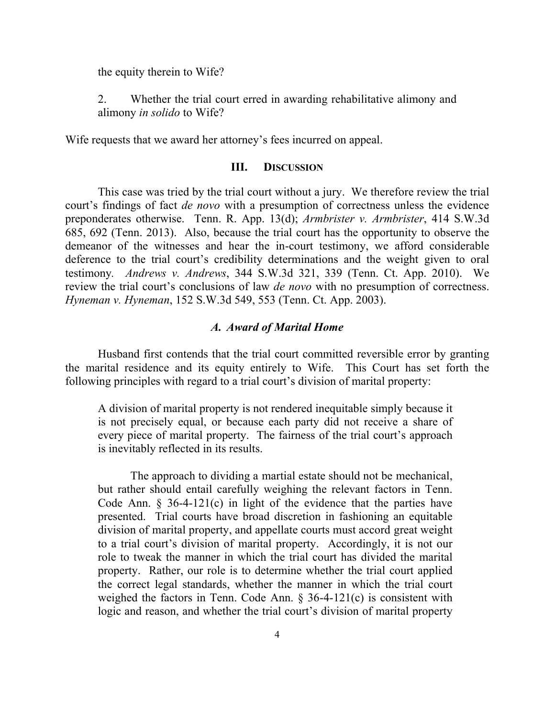the equity therein to Wife?

2. Whether the trial court erred in awarding rehabilitative alimony and alimony *in solido* to Wife?

Wife requests that we award her attorney's fees incurred on appeal.

#### **III. DISCUSSION**

This case was tried by the trial court without a jury. We therefore review the trial court's findings of fact *de novo* with a presumption of correctness unless the evidence preponderates otherwise. Tenn. R. App. 13(d); *Armbrister v. Armbrister*, 414 S.W.3d 685, 692 (Tenn. 2013). Also, because the trial court has the opportunity to observe the demeanor of the witnesses and hear the in-court testimony, we afford considerable deference to the trial court's credibility determinations and the weight given to oral testimony*. Andrews v. Andrews*, 344 S.W.3d 321, 339 (Tenn. Ct. App. 2010). We review the trial court's conclusions of law *de novo* with no presumption of correctness. *Hyneman v. Hyneman*, 152 S.W.3d 549, 553 (Tenn. Ct. App. 2003).

#### *A. Award of Marital Home*

Husband first contends that the trial court committed reversible error by granting the marital residence and its equity entirely to Wife. This Court has set forth the following principles with regard to a trial court's division of marital property:

A division of marital property is not rendered inequitable simply because it is not precisely equal, or because each party did not receive a share of every piece of marital property. The fairness of the trial court's approach is inevitably reflected in its results.

The approach to dividing a martial estate should not be mechanical, but rather should entail carefully weighing the relevant factors in Tenn. Code Ann.  $\S$  36-4-121(c) in light of the evidence that the parties have presented. Trial courts have broad discretion in fashioning an equitable division of marital property, and appellate courts must accord great weight to a trial court's division of marital property. Accordingly, it is not our role to tweak the manner in which the trial court has divided the marital property. Rather, our role is to determine whether the trial court applied the correct legal standards, whether the manner in which the trial court weighed the factors in Tenn. Code Ann. § 36-4-121(c) is consistent with logic and reason, and whether the trial court's division of marital property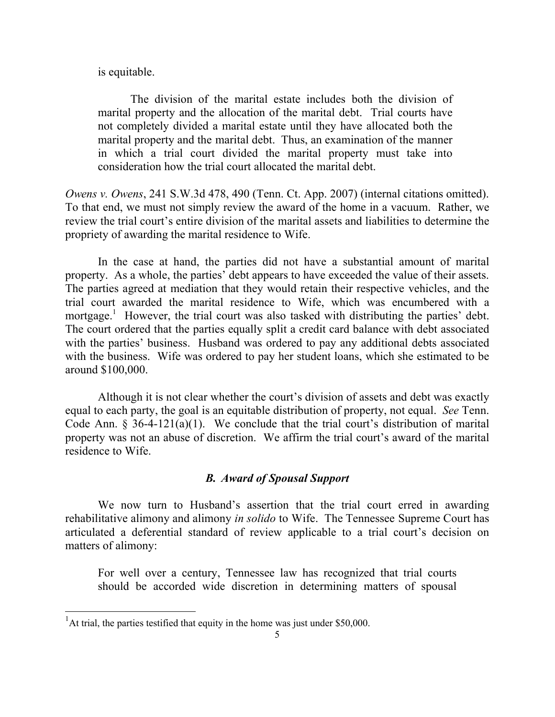is equitable.

The division of the marital estate includes both the division of marital property and the allocation of the marital debt. Trial courts have not completely divided a marital estate until they have allocated both the marital property and the marital debt. Thus, an examination of the manner in which a trial court divided the marital property must take into consideration how the trial court allocated the marital debt.

*Owens v. Owens*, 241 S.W.3d 478, 490 (Tenn. Ct. App. 2007) (internal citations omitted). To that end, we must not simply review the award of the home in a vacuum. Rather, we review the trial court's entire division of the marital assets and liabilities to determine the propriety of awarding the marital residence to Wife.

In the case at hand, the parties did not have a substantial amount of marital property. As a whole, the parties' debt appears to have exceeded the value of their assets. The parties agreed at mediation that they would retain their respective vehicles, and the trial court awarded the marital residence to Wife, which was encumbered with a mortgage.<sup>1</sup> However, the trial court was also tasked with distributing the parties' debt. The court ordered that the parties equally split a credit card balance with debt associated with the parties' business. Husband was ordered to pay any additional debts associated with the business. Wife was ordered to pay her student loans, which she estimated to be around \$100,000.

Although it is not clear whether the court's division of assets and debt was exactly equal to each party, the goal is an equitable distribution of property, not equal. *See* Tenn. Code Ann.  $\S$  36-4-121(a)(1). We conclude that the trial court's distribution of marital property was not an abuse of discretion. We affirm the trial court's award of the marital residence to Wife.

#### *B. Award of Spousal Support*

We now turn to Husband's assertion that the trial court erred in awarding rehabilitative alimony and alimony *in solido* to Wife. The Tennessee Supreme Court has articulated a deferential standard of review applicable to a trial court's decision on matters of alimony:

For well over a century, Tennessee law has recognized that trial courts should be accorded wide discretion in determining matters of spousal

l

<sup>&</sup>lt;sup>1</sup>At trial, the parties testified that equity in the home was just under \$50,000.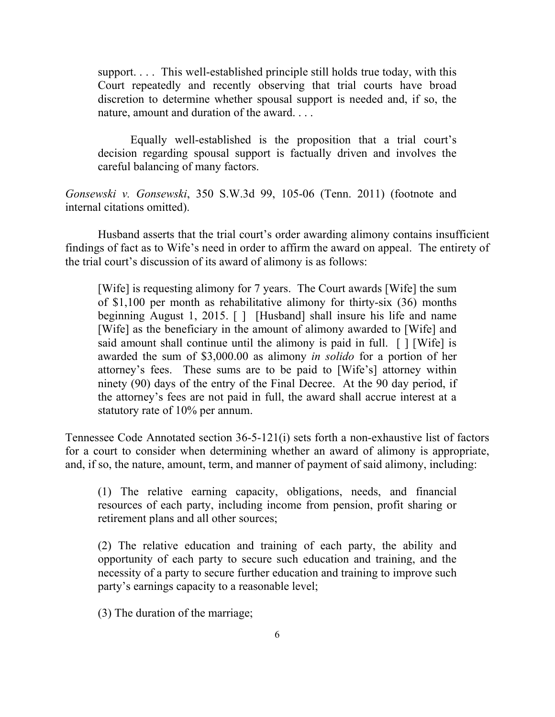support. . . . This well-established principle still holds true today, with this Court repeatedly and recently observing that trial courts have broad discretion to determine whether spousal support is needed and, if so, the nature, amount and duration of the award. . . .

Equally well-established is the proposition that a trial court's decision regarding spousal support is factually driven and involves the careful balancing of many factors.

*Gonsewski v. Gonsewski*, 350 S.W.3d 99, 105-06 (Tenn. 2011) (footnote and internal citations omitted).

Husband asserts that the trial court's order awarding alimony contains insufficient findings of fact as to Wife's need in order to affirm the award on appeal. The entirety of the trial court's discussion of its award of alimony is as follows:

[Wife] is requesting alimony for 7 years. The Court awards [Wife] the sum of \$1,100 per month as rehabilitative alimony for thirty-six (36) months beginning August 1, 2015. [ ] [Husband] shall insure his life and name [Wife] as the beneficiary in the amount of alimony awarded to [Wife] and said amount shall continue until the alimony is paid in full. [ ] [Wife] is awarded the sum of \$3,000.00 as alimony *in solido* for a portion of her attorney's fees. These sums are to be paid to [Wife's] attorney within ninety (90) days of the entry of the Final Decree. At the 90 day period, if the attorney's fees are not paid in full, the award shall accrue interest at a statutory rate of 10% per annum.

Tennessee Code Annotated section 36-5-121(i) sets forth a non-exhaustive list of factors for a court to consider when determining whether an award of alimony is appropriate, and, if so, the nature, amount, term, and manner of payment of said alimony, including:

(1) The relative earning capacity, obligations, needs, and financial resources of each party, including income from pension, profit sharing or retirement plans and all other sources;

(2) The relative education and training of each party, the ability and opportunity of each party to secure such education and training, and the necessity of a party to secure further education and training to improve such party's earnings capacity to a reasonable level;

(3) The duration of the marriage;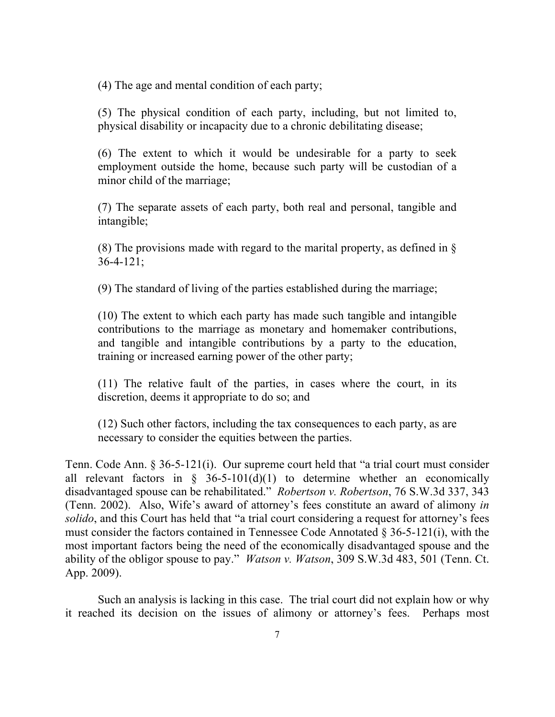(4) The age and mental condition of each party;

(5) The physical condition of each party, including, but not limited to, physical disability or incapacity due to a chronic debilitating disease;

(6) The extent to which it would be undesirable for a party to seek employment outside the home, because such party will be custodian of a minor child of the marriage;

(7) The separate assets of each party, both real and personal, tangible and intangible;

(8) The provisions made with regard to the marital property, as defined in §  $36-4-121$ ;

(9) The standard of living of the parties established during the marriage;

(10) The extent to which each party has made such tangible and intangible contributions to the marriage as monetary and homemaker contributions, and tangible and intangible contributions by a party to the education, training or increased earning power of the other party;

(11) The relative fault of the parties, in cases where the court, in its discretion, deems it appropriate to do so; and

(12) Such other factors, including the tax consequences to each party, as are necessary to consider the equities between the parties.

Tenn. Code Ann. § 36-5-121(i). Our supreme court held that "a trial court must consider all relevant factors in  $\frac{1}{2}$  36-5-101(d)(1) to determine whether an economically disadvantaged spouse can be rehabilitated." *Robertson v. Robertson*, 76 S.W.3d 337, 343 (Tenn. 2002). Also, Wife's award of attorney's fees constitute an award of alimony *in solido*, and this Court has held that "a trial court considering a request for attorney's fees must consider the factors contained in Tennessee Code Annotated § 36-5-121(i), with the most important factors being the need of the economically disadvantaged spouse and the ability of the obligor spouse to pay." *Watson v. Watson*, 309 S.W.3d 483, 501 (Tenn. Ct. App. 2009).

Such an analysis is lacking in this case. The trial court did not explain how or why it reached its decision on the issues of alimony or attorney's fees. Perhaps most